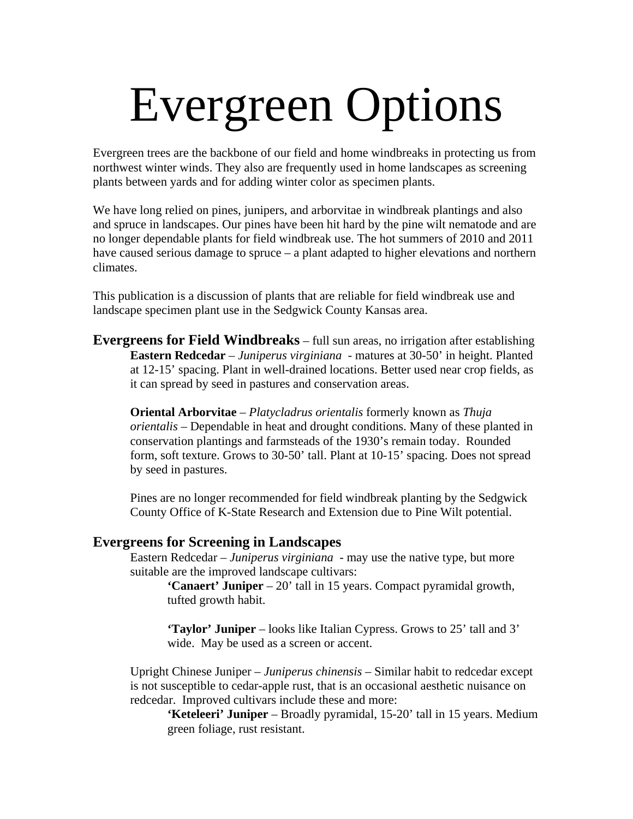## Evergreen Options

Evergreen trees are the backbone of our field and home windbreaks in protecting us from northwest winter winds. They also are frequently used in home landscapes as screening plants between yards and for adding winter color as specimen plants.

We have long relied on pines, junipers, and arborvitae in windbreak plantings and also and spruce in landscapes. Our pines have been hit hard by the pine wilt nematode and are no longer dependable plants for field windbreak use. The hot summers of 2010 and 2011 have caused serious damage to spruce – a plant adapted to higher elevations and northern climates.

This publication is a discussion of plants that are reliable for field windbreak use and landscape specimen plant use in the Sedgwick County Kansas area.

**Evergreens for Field Windbreaks** – full sun areas, no irrigation after establishing **Eastern Redcedar** – *Juniperus virginiana* - matures at 30-50' in height. Planted at 12-15' spacing. Plant in well-drained locations. Better used near crop fields, as it can spread by seed in pastures and conservation areas.

**Oriental Arborvitae** – *Platycladrus orientalis* formerly known as *Thuja orientalis –* Dependable in heat and drought conditions. Many of these planted in conservation plantings and farmsteads of the 1930's remain today. Rounded form, soft texture. Grows to 30-50' tall. Plant at 10-15' spacing. Does not spread by seed in pastures.

Pines are no longer recommended for field windbreak planting by the Sedgwick County Office of K-State Research and Extension due to Pine Wilt potential.

## **Evergreens for Screening in Landscapes**

Eastern Redcedar – *Juniperus virginiana* - may use the native type, but more suitable are the improved landscape cultivars:

**'Canaert' Juniper** – 20' tall in 15 years. Compact pyramidal growth, tufted growth habit.

**'Taylor' Juniper** – looks like Italian Cypress. Grows to 25' tall and 3' wide. May be used as a screen or accent.

Upright Chinese Juniper – *Juniperus chinensis –* Similar habit to redcedar except is not susceptible to cedar-apple rust, that is an occasional aesthetic nuisance on redcedar. Improved cultivars include these and more:

**'Keteleeri' Juniper** – Broadly pyramidal, 15-20' tall in 15 years. Medium green foliage, rust resistant.